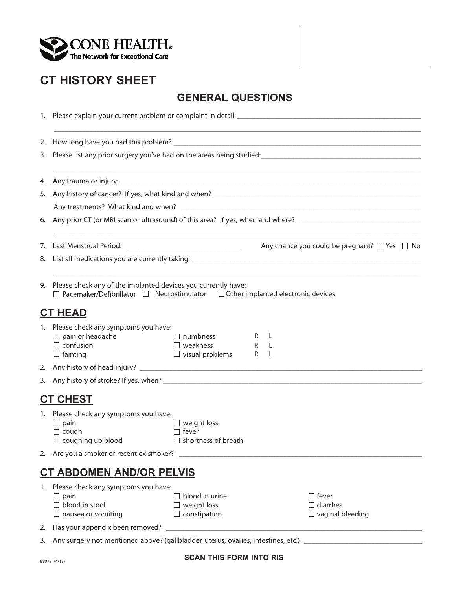

## **CT HISTORY SHEET**

## **GENERAL QUESTIONS**

| 2. |                                                                                                                                                                  |                                                                    |   |                     |                                                                                                                                                                                                                                                                                                                                                              |
|----|------------------------------------------------------------------------------------------------------------------------------------------------------------------|--------------------------------------------------------------------|---|---------------------|--------------------------------------------------------------------------------------------------------------------------------------------------------------------------------------------------------------------------------------------------------------------------------------------------------------------------------------------------------------|
| 3. |                                                                                                                                                                  |                                                                    |   |                     | Please list any prior surgery you've had on the areas being studied:<br>Flease list any prior surgery you've had on the areas being studied:<br>The manuscription manuscription manuscription manuscription manuscription manuscri<br><u> 1989 - Johann Stoff, deutscher Stoffen und der Stoffen und der Stoffen und der Stoffen und der Stoffen und der</u> |
| 4. |                                                                                                                                                                  |                                                                    |   |                     |                                                                                                                                                                                                                                                                                                                                                              |
| 5. |                                                                                                                                                                  |                                                                    |   |                     |                                                                                                                                                                                                                                                                                                                                                              |
|    |                                                                                                                                                                  |                                                                    |   |                     |                                                                                                                                                                                                                                                                                                                                                              |
|    |                                                                                                                                                                  |                                                                    |   |                     |                                                                                                                                                                                                                                                                                                                                                              |
| 7. |                                                                                                                                                                  |                                                                    |   |                     | Any chance you could be pregnant? $\Box$ Yes $\Box$ No                                                                                                                                                                                                                                                                                                       |
| 8. |                                                                                                                                                                  |                                                                    |   |                     |                                                                                                                                                                                                                                                                                                                                                              |
| 9. | Please check any of the implanted devices you currently have:<br>$\Box$ Pacemaker/Defibrillator $\Box$ Neurostimulator $\Box$ Other implanted electronic devices |                                                                    |   |                     |                                                                                                                                                                                                                                                                                                                                                              |
|    | <u>CT HEAD</u>                                                                                                                                                   |                                                                    |   |                     |                                                                                                                                                                                                                                                                                                                                                              |
|    | 1. Please check any symptoms you have:<br>$\Box$ pain or headache<br>$\Box$ confusion<br>$\Box$ fainting                                                         | $\Box$ numbness<br>$\Box$ weakness<br>$\Box$ visual problems       | R | R L<br>$R$ L<br>- L |                                                                                                                                                                                                                                                                                                                                                              |
|    |                                                                                                                                                                  |                                                                    |   |                     |                                                                                                                                                                                                                                                                                                                                                              |
| 3. |                                                                                                                                                                  |                                                                    |   |                     |                                                                                                                                                                                                                                                                                                                                                              |
|    | <b>CT CHEST</b>                                                                                                                                                  |                                                                    |   |                     |                                                                                                                                                                                                                                                                                                                                                              |
|    | 1. Please check any symptoms you have:<br>$\Box$ pain<br>$\Box$ cough<br>$\Box$ coughing up blood                                                                | $\Box$ weight loss<br>$\Box$ fever<br>$\Box$ shortness of breath   |   |                     |                                                                                                                                                                                                                                                                                                                                                              |
|    |                                                                                                                                                                  |                                                                    |   |                     |                                                                                                                                                                                                                                                                                                                                                              |
|    | <u>CT ABDOMEN AND/OR PELVIS</u>                                                                                                                                  |                                                                    |   |                     |                                                                                                                                                                                                                                                                                                                                                              |
|    | 1. Please check any symptoms you have:<br>$\Box$ pain<br>$\Box$ blood in stool<br>$\Box$ nausea or vomiting                                                      | $\Box$ blood in urine<br>$\Box$ weight loss<br>$\Box$ constipation |   |                     | $\Box$ fever<br>$\Box$ diarrhea<br>$\Box$ vaginal bleeding                                                                                                                                                                                                                                                                                                   |
|    |                                                                                                                                                                  |                                                                    |   |                     |                                                                                                                                                                                                                                                                                                                                                              |
|    | 2 Apus urgenup of mentioned above? (gallbladder uterus overies intestings ats)                                                                                   |                                                                    |   |                     |                                                                                                                                                                                                                                                                                                                                                              |

**SCAN THIS FORM INTO RIS**